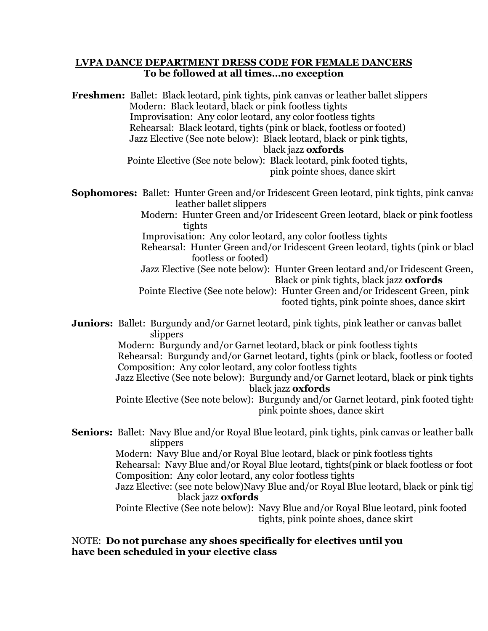## **LVPA DANCE DEPARTMENT DRESS CODE FOR FEMALE DANCERS To be followed at all times…no exception**

**Freshmen:** Ballet: Black leotard, pink tights, pink canvas or leather ballet slippers Modern: Black leotard, black or pink footless tights Improvisation: Any color leotard, any color footless tights Rehearsal: Black leotard, tights (pink or black, footless or footed) Jazz Elective (See note below): Black leotard, black or pink tights, black jazz **oxfords** Pointe Elective (See note below): Black leotard, pink footed tights,

pink pointe shoes, dance skirt

**Sophomores:** Ballet: Hunter Green and/or Iridescent Green leotard, pink tights, pink canvas leather ballet slippers

 Modern: Hunter Green and/or Iridescent Green leotard, black or pink footless tights

Improvisation: Any color leotard, any color footless tights

 Rehearsal: Hunter Green and/or Iridescent Green leotard, tights (pink or black, footless or footed)

 Jazz Elective (See note below): Hunter Green leotard and/or Iridescent Green, Black or pink tights, black jazz **oxfords**

 Pointe Elective (See note below): Hunter Green and/or Iridescent Green, pink footed tights, pink pointe shoes, dance skirt

**Juniors:** Ballet: Burgundy and/or Garnet leotard, pink tights, pink leather or canvas ballet slippers

> Modern: Burgundy and/or Garnet leotard, black or pink footless tights Rehearsal: Burgundy and/or Garnet leotard, tights (pink or black, footless or footed) Composition: Any color leotard, any color footless tights

> Jazz Elective (See note below): Burgundy and/or Garnet leotard, black or pink tights, black jazz **oxfords**

> Pointe Elective (See note below): Burgundy and/or Garnet leotard, pink footed tights pink pointe shoes, dance skirt

**Seniors:** Ballet: Navy Blue and/or Royal Blue leotard, pink tights, pink canvas or leather balle slippers

 Modern: Navy Blue and/or Royal Blue leotard, black or pink footless tights Rehearsal: Navy Blue and/or Royal Blue leotard, tights(pink or black footless or foot Composition: Any color leotard, any color footless tights

Jazz Elective: (see note below)Navy Blue and/or Royal Blue leotard, black or pink tights, black jazz **oxfords**

 Pointe Elective (See note below): Navy Blue and/or Royal Blue leotard, pink footed tights, pink pointe shoes, dance skirt

NOTE: **Do not purchase any shoes specifically for electives until you have been scheduled in your elective class**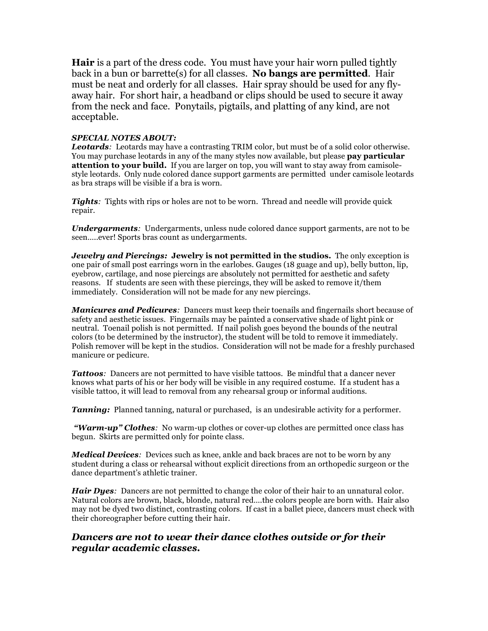**Hair** is a part of the dress code. You must have your hair worn pulled tightly back in a bun or barrette(s) for all classes. **No bangs are permitted**. Hair must be neat and orderly for all classes. Hair spray should be used for any flyaway hair. For short hair, a headband or clips should be used to secure it away from the neck and face. Ponytails, pigtails, and platting of any kind, are not acceptable.

## *SPECIAL NOTES ABOUT:*

*Leotards:* Leotards may have a contrasting TRIM color, but must be of a solid color otherwise. You may purchase leotards in any of the many styles now available, but please **pay particular attention to your build.** If you are larger on top, you will want to stay away from camisolestyle leotards. Only nude colored dance support garments are permitted under camisole leotards as bra straps will be visible if a bra is worn.

*Tights:* Tights with rips or holes are not to be worn. Thread and needle will provide quick repair.

*Undergarments:* Undergarments, unless nude colored dance support garments, are not to be seen.....ever! Sports bras count as undergarments.

*Jewelry and Piercings:* **Jewelry is not permitted in the studios.** The only exception is one pair of small post earrings worn in the earlobes. Gauges (18 guage and up), belly button, lip, eyebrow, cartilage, and nose piercings are absolutely not permitted for aesthetic and safety reasons. If students are seen with these piercings, they will be asked to remove it/them immediately. Consideration will not be made for any new piercings.

*Manicures and Pedicures:* Dancers must keep their toenails and fingernails short because of safety and aesthetic issues. Fingernails may be painted a conservative shade of light pink or neutral. Toenail polish is not permitted. If nail polish goes beyond the bounds of the neutral colors (to be determined by the instructor), the student will be told to remove it immediately. Polish remover will be kept in the studios. Consideration will not be made for a freshly purchased manicure or pedicure.

**Tattoos**: Dancers are not permitted to have visible tattoos. Be mindful that a dancer never knows what parts of his or her body will be visible in any required costume. If a student has a visible tattoo, it will lead to removal from any rehearsal group or informal auditions.

*Tanning:* Planned tanning, natural or purchased, is an undesirable activity for a performer.

*"Warm-up" Clothes:* No warm-up clothes or cover-up clothes are permitted once class has begun. Skirts are permitted only for pointe class.

*Medical Devices:* Devices such as knee, ankle and back braces are not to be worn by any student during a class or rehearsal without explicit directions from an orthopedic surgeon or the dance department's athletic trainer.

*Hair Dyes:* Dancers are not permitted to change the color of their hair to an unnatural color. Natural colors are brown, black, blonde, natural red….the colors people are born with. Hair also may not be dyed two distinct, contrasting colors. If cast in a ballet piece, dancers must check with their choreographer before cutting their hair.

## *Dancers are not to wear their dance clothes outside or for their regular academic classes.*